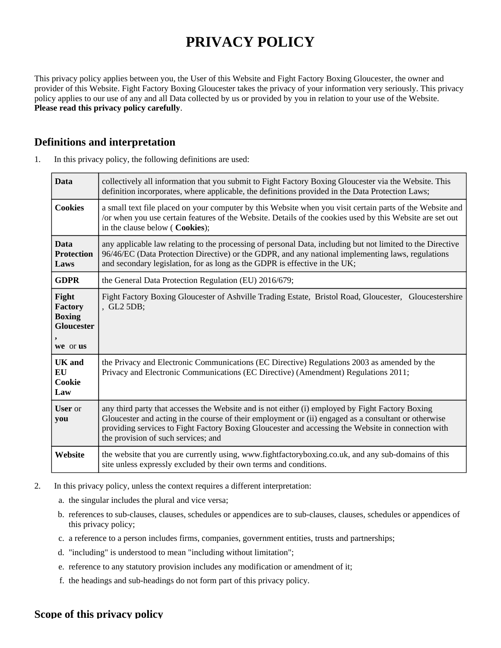# **PRIVACY POLICY**

This privacy policy applies between you, the User of this Website and Fight Factory Boxing Gloucester, the owner and provider of this Website. Fight Factory Boxing Gloucester takes the privacy of your information very seriously. This privacy policy applies to our use of any and all Data collected by us or provided by you in relation to your use of the Website. **Please read this privacy policy carefully**.

## **Definitions and interpretation**

| 1. |  |  |  |  | In this privacy policy, the following definitions are used: |  |
|----|--|--|--|--|-------------------------------------------------------------|--|
|----|--|--|--|--|-------------------------------------------------------------|--|

| <b>Data</b>                                                               | collectively all information that you submit to Fight Factory Boxing Gloucester via the Website. This<br>definition incorporates, where applicable, the definitions provided in the Data Protection Laws;                                                                                                                                             |
|---------------------------------------------------------------------------|-------------------------------------------------------------------------------------------------------------------------------------------------------------------------------------------------------------------------------------------------------------------------------------------------------------------------------------------------------|
| <b>Cookies</b>                                                            | a small text file placed on your computer by this Website when you visit certain parts of the Website and<br>/or when you use certain features of the Website. Details of the cookies used by this Website are set out<br>in the clause below ( Cookies);                                                                                             |
| <b>Data</b><br><b>Protection</b><br>Laws                                  | any applicable law relating to the processing of personal Data, including but not limited to the Directive<br>96/46/EC (Data Protection Directive) or the GDPR, and any national implementing laws, regulations<br>and secondary legislation, for as long as the GDPR is effective in the UK;                                                         |
| <b>GDPR</b>                                                               | the General Data Protection Regulation (EU) 2016/679;                                                                                                                                                                                                                                                                                                 |
| Fight<br><b>Factory</b><br><b>Boxing</b><br><b>Gloucester</b><br>we or us | Fight Factory Boxing Gloucester of Ashville Trading Estate, Bristol Road, Gloucester, Gloucestershire<br>, GL2 5DB;                                                                                                                                                                                                                                   |
| UK and<br>EU<br>Cookie<br>Law                                             | the Privacy and Electronic Communications (EC Directive) Regulations 2003 as amended by the<br>Privacy and Electronic Communications (EC Directive) (Amendment) Regulations 2011;                                                                                                                                                                     |
| <b>User</b> or<br>you                                                     | any third party that accesses the Website and is not either (i) employed by Fight Factory Boxing<br>Gloucester and acting in the course of their employment or (ii) engaged as a consultant or otherwise<br>providing services to Fight Factory Boxing Gloucester and accessing the Website in connection with<br>the provision of such services; and |
| Website                                                                   | the website that you are currently using, www.fightfactoryboxing.co.uk, and any sub-domains of this<br>site unless expressly excluded by their own terms and conditions.                                                                                                                                                                              |

- 2. In this privacy policy, unless the context requires a different interpretation:
	- a. the singular includes the plural and vice versa;
	- b. references to sub-clauses, clauses, schedules or appendices are to sub-clauses, clauses, schedules or appendices of this privacy policy;
	- c. a reference to a person includes firms, companies, government entities, trusts and partnerships;
	- d. "including" is understood to mean "including without limitation";
	- e. reference to any statutory provision includes any modification or amendment of it;
	- f. the headings and sub-headings do not form part of this privacy policy.

#### **Scope of this privacy policy**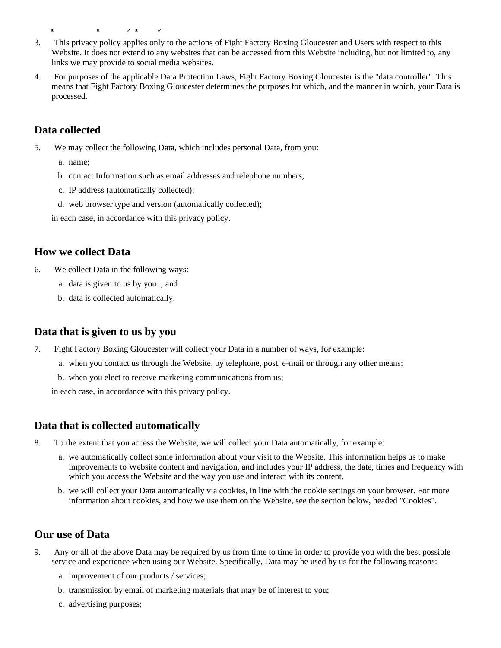- 3. This privacy policy applies only to the actions of Fight Factory Boxing Gloucester and Users with respect to this Website. It does not extend to any websites that can be accessed from this Website including, but not limited to, any links we may provide to social media websites.
- 4. For purposes of the applicable Data Protection Laws, Fight Factory Boxing Gloucester is the "data controller". This means that Fight Factory Boxing Gloucester determines the purposes for which, and the manner in which, your Data is processed.

# **Data collected**

**Scope of this privacy policy policy policy policy policy policy policy policy policy policy policy policy poli** 

- 5. We may collect the following Data, which includes personal Data, from you:
	- a. name;
	- b. contact Information such as email addresses and telephone numbers;
	- c. IP address (automatically collected);
	- d. web browser type and version (automatically collected);

in each case, in accordance with this privacy policy.

### **How we collect Data**

- 6. We collect Data in the following ways:
	- a. data is given to us by you ; and
	- b. data is collected automatically.

### **Data that is given to us by you**

- 7. Fight Factory Boxing Gloucester will collect your Data in a number of ways, for example:
	- a. when you contact us through the Website, by telephone, post, e-mail or through any other means;
	- b. when you elect to receive marketing communications from us;

in each case, in accordance with this privacy policy.

### **Data that is collected automatically**

- 8. To the extent that you access the Website, we will collect your Data automatically, for example:
	- a. we automatically collect some information about your visit to the Website. This information helps us to make improvements to Website content and navigation, and includes your IP address, the date, times and frequency with which you access the Website and the way you use and interact with its content.
	- b. we will collect your Data automatically via cookies, in line with the cookie settings on your browser. For more information about cookies, and how we use them on the Website, see the section below, headed "Cookies".

### **Our use of Data**

- 9. Any or all of the above Data may be required by us from time to time in order to provide you with the best possible service and experience when using our Website. Specifically, Data may be used by us for the following reasons:
	- a. improvement of our products / services;
	- b. transmission by email of marketing materials that may be of interest to you;
	- c. advertising purposes;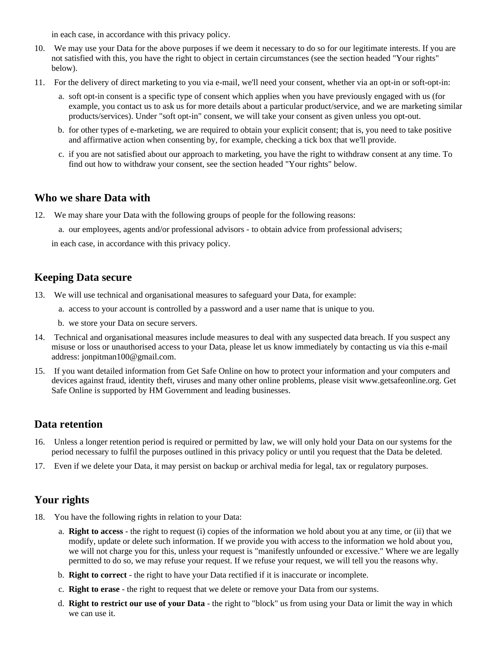in each case, in accordance with this privacy policy.

- 10. We may use your Data for the above purposes if we deem it necessary to do so for our legitimate interests. If you are not satisfied with this, you have the right to object in certain circumstances (see the section headed "Your rights" below).
- 11. For the delivery of direct marketing to you via e-mail, we'll need your consent, whether via an opt-in or soft-opt-in:
	- a. soft opt-in consent is a specific type of consent which applies when you have previously engaged with us (for example, you contact us to ask us for more details about a particular product/service, and we are marketing similar products/services). Under "soft opt-in" consent, we will take your consent as given unless you opt-out.
	- b. for other types of e-marketing, we are required to obtain your explicit consent; that is, you need to take positive and affirmative action when consenting by, for example, checking a tick box that we'll provide.
	- c. if you are not satisfied about our approach to marketing, you have the right to withdraw consent at any time. To find out how to withdraw your consent, see the section headed "Your rights" below.

## **Who we share Data with**

- 12. We may share your Data with the following groups of people for the following reasons:
	- a. our employees, agents and/or professional advisors to obtain advice from professional advisers;

in each case, in accordance with this privacy policy.

## **Keeping Data secure**

- 13. We will use technical and organisational measures to safeguard your Data, for example:
	- a. access to your account is controlled by a password and a user name that is unique to you.
	- b. we store your Data on secure servers.
- 14. Technical and organisational measures include measures to deal with any suspected data breach. If you suspect any misuse or loss or unauthorised access to your Data, please let us know immediately by contacting us via this e-mail address: jonpitman100@gmail.com.
- 15. If you want detailed information from Get Safe Online on how to protect your information and your computers and devices against fraud, identity theft, viruses and many other online problems, please visit www.getsafeonline.org. Get Safe Online is supported by HM Government and leading businesses.

## **Data retention**

- 16. Unless a longer retention period is required or permitted by law, we will only hold your Data on our systems for the period necessary to fulfil the purposes outlined in this privacy policy or until you request that the Data be deleted.
- 17. Even if we delete your Data, it may persist on backup or archival media for legal, tax or regulatory purposes.

# **Your rights**

- 18. You have the following rights in relation to your Data:
	- a. **Right to access** the right to request (i) copies of the information we hold about you at any time, or (ii) that we modify, update or delete such information. If we provide you with access to the information we hold about you, we will not charge you for this, unless your request is "manifestly unfounded or excessive." Where we are legally permitted to do so, we may refuse your request. If we refuse your request, we will tell you the reasons why.
	- b. **Right to correct** the right to have your Data rectified if it is inaccurate or incomplete.
	- c. **Right to erase** the right to request that we delete or remove your Data from our systems.
	- d. **Right to restrict our use of your Data** the right to "block" us from using your Data or limit the way in which we can use it.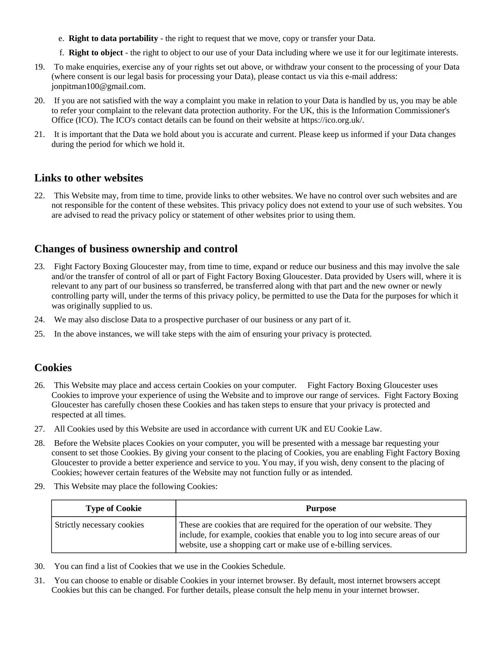- e. **Right to data portability** the right to request that we move, copy or transfer your Data.
- f. **Right to object** the right to object to our use of your Data including where we use it for our legitimate interests.
- 19. To make enquiries, exercise any of your rights set out above, or withdraw your consent to the processing of your Data (where consent is our legal basis for processing your Data), please contact us via this e-mail address: jonpitman100@gmail.com.
- 20. If you are not satisfied with the way a complaint you make in relation to your Data is handled by us, you may be able to refer your complaint to the relevant data protection authority. For the UK, this is the Information Commissioner's Office (ICO). The ICO's contact details can be found on their website at https://ico.org.uk/.
- 21. It is important that the Data we hold about you is accurate and current. Please keep us informed if your Data changes during the period for which we hold it.

### **Links to other websites**

22. This Website may, from time to time, provide links to other websites. We have no control over such websites and are not responsible for the content of these websites. This privacy policy does not extend to your use of such websites. You are advised to read the privacy policy or statement of other websites prior to using them.

## **Changes of business ownership and control**

- 23. Fight Factory Boxing Gloucester may, from time to time, expand or reduce our business and this may involve the sale and/or the transfer of control of all or part of Fight Factory Boxing Gloucester. Data provided by Users will, where it is relevant to any part of our business so transferred, be transferred along with that part and the new owner or newly controlling party will, under the terms of this privacy policy, be permitted to use the Data for the purposes for which it was originally supplied to us.
- 24. We may also disclose Data to a prospective purchaser of our business or any part of it.
- 25. In the above instances, we will take steps with the aim of ensuring your privacy is protected.

### **Cookies**

- 26. This Website may place and access certain Cookies on your computer. Fight Factory Boxing Gloucester uses Cookies to improve your experience of using the Website and to improve our range of services. Fight Factory Boxing Gloucester has carefully chosen these Cookies and has taken steps to ensure that your privacy is protected and respected at all times.
- 27. All Cookies used by this Website are used in accordance with current UK and EU Cookie Law.
- 28. Before the Website places Cookies on your computer, you will be presented with a message bar requesting your consent to set those Cookies. By giving your consent to the placing of Cookies, you are enabling Fight Factory Boxing Gloucester to provide a better experience and service to you. You may, if you wish, deny consent to the placing of Cookies; however certain features of the Website may not function fully or as intended.
- 29. This Website may place the following Cookies:

| <b>Type of Cookie</b>      | <b>Purpose</b>                                                                                                                                                                                                                 |  |  |
|----------------------------|--------------------------------------------------------------------------------------------------------------------------------------------------------------------------------------------------------------------------------|--|--|
| Strictly necessary cookies | These are cookies that are required for the operation of our website. They<br>include, for example, cookies that enable you to log into secure areas of our<br>website, use a shopping cart or make use of e-billing services. |  |  |

- 30. You can find a list of Cookies that we use in the Cookies Schedule.
- 31. You can choose to enable or disable Cookies in your internet browser. By default, most internet browsers accept Cookies but this can be changed. For further details, please consult the help menu in your internet browser.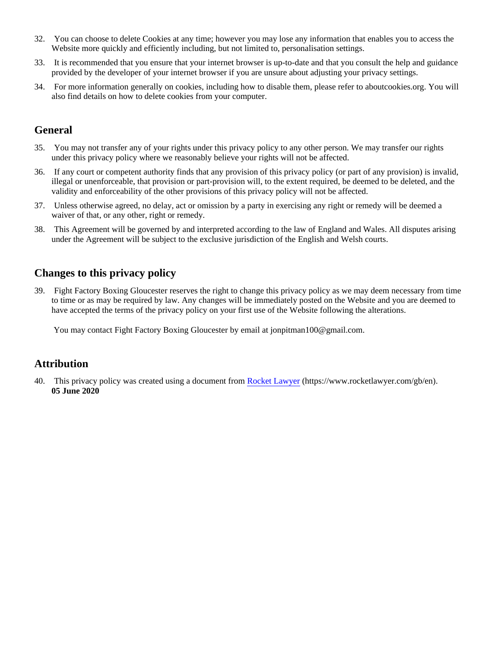- 32. You can choose to delete Cookies at any time; however you may lose any information that enables you to access the Website more quickly and efficiently including, but not limited to, personalisation settings.
- 33. It is recommended that you ensure that your internet browser is up-to-date and that you consult the help and guidance provided by the developer of your internet browser if you are unsure about adjusting your privacy settings.
- 34. For more information generally on cookies, including how to disable them, please refer to aboutcookies.org. You will also find details on how to delete cookies from your computer.

# **General**

- 35. You may not transfer any of your rights under this privacy policy to any other person. We may transfer our rights under this privacy policy where we reasonably believe your rights will not be affected.
- 36. If any court or competent authority finds that any provision of this privacy policy (or part of any provision) is invalid, illegal or unenforceable, that provision or part-provision will, to the extent required, be deemed to be deleted, and the validity and enforceability of the other provisions of this privacy policy will not be affected.
- 37. Unless otherwise agreed, no delay, act or omission by a party in exercising any right or remedy will be deemed a waiver of that, or any other, right or remedy.
- 38. This Agreement will be governed by and interpreted according to the law of England and Wales. All disputes arising under the Agreement will be subject to the exclusive jurisdiction of the English and Welsh courts.

## **Changes to this privacy policy**

39. Fight Factory Boxing Gloucester reserves the right to change this privacy policy as we may deem necessary from time to time or as may be required by law. Any changes will be immediately posted on the Website and you are deemed to have accepted the terms of the privacy policy on your first use of the Website following the alterations.

You may contact Fight Factory Boxing Gloucester by email at jonpitman100@gmail.com.

## **Attribution**

40. This privacy policy was created using a document from [Rocket Lawyer](https://www.rocketlawyer.com/gb/en/) (https://www.rocketlawyer.com/gb/en). **05 June 2020**